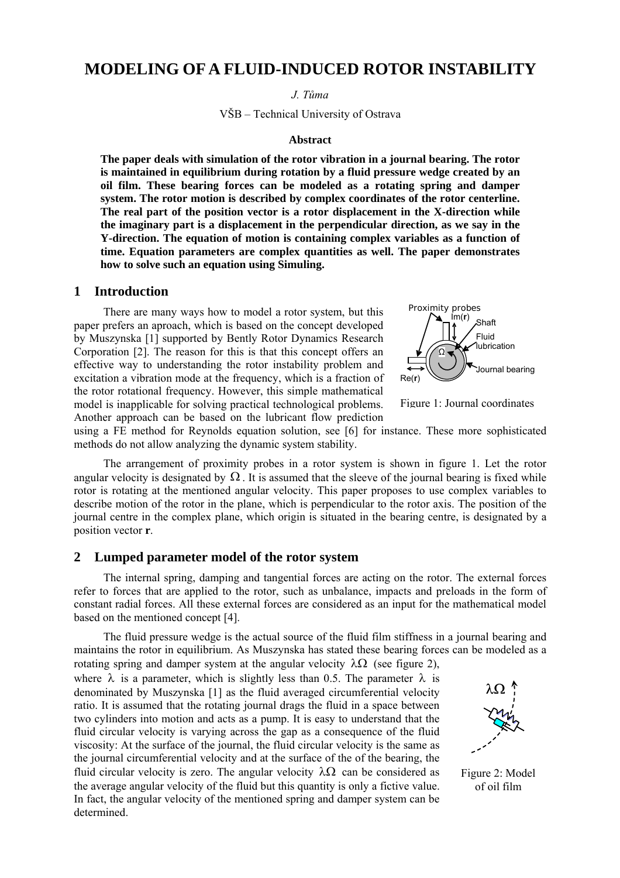# **MODELING OF A FLUID-INDUCED ROTOR INSTABILITY**

*J. Tůma* 

VŠB – Technical University of Ostrava

#### **Abstract**

**The paper deals with simulation of the rotor vibration in a journal bearing. The rotor is maintained in equilibrium during rotation by a fluid pressure wedge created by an oil film. These bearing forces can be modeled as a rotating spring and damper system. The rotor motion is described by complex coordinates of the rotor centerline. The real part of the position vector is a rotor displacement in the X-direction while the imaginary part is a displacement in the perpendicular direction, as we say in the Y-direction. The equation of motion is containing complex variables as a function of time. Equation parameters are complex quantities as well. The paper demonstrates how to solve such an equation using Simuling.** 

#### **1 Introduction**

There are many ways how to model a rotor system, but this paper prefers an aproach, which is based on the concept developed by Muszynska [1] supported by Bently Rotor Dynamics Research Corporation [2]. The reason for this is that this concept offers an effective way to understanding the rotor instability problem and excitation a vibration mode at the frequency, which is a fraction of the rotor rotational frequency. However, this simple mathematical model is inapplicable for solving practical technological problems. Another approach can be based on the lubricant flow prediction



Figure 1: Journal coordinates

using a FE method for Reynolds equation solution, see [6] for instance. These more sophisticated methods do not allow analyzing the dynamic system stability.

The arrangement of proximity probes in a rotor system is shown in figure 1. Let the rotor angular velocity is designated by  $\Omega$ . It is assumed that the sleeve of the journal bearing is fixed while rotor is rotating at the mentioned angular velocity. This paper proposes to use complex variables to describe motion of the rotor in the plane, which is perpendicular to the rotor axis. The position of the journal centre in the complex plane, which origin is situated in the bearing centre, is designated by a position vector **r**.

#### **2 Lumped parameter model of the rotor system**

The internal spring, damping and tangential forces are acting on the rotor. The external forces refer to forces that are applied to the rotor, such as unbalance, impacts and preloads in the form of constant radial forces. All these external forces are considered as an input for the mathematical model based on the mentioned concept [4].

The fluid pressure wedge is the actual source of the fluid film stiffness in a journal bearing and maintains the rotor in equilibrium. As Muszynska has stated these bearing forces can be modeled as a rotating spring and damper system at the angular velocity λΩ (see figure 2),

where  $\lambda$  is a parameter, which is slightly less than 0.5. The parameter  $\lambda$  is denominated by Muszynska [1] as the fluid averaged circumferential velocity ratio. It is assumed that the rotating journal drags the fluid in a space between two cylinders into motion and acts as a pump. It is easy to understand that the fluid circular velocity is varying across the gap as a consequence of the fluid viscosity: At the surface of the journal, the fluid circular velocity is the same as the journal circumferential velocity and at the surface of the of the bearing, the fluid circular velocity is zero. The angular velocity  $\lambda \Omega$  can be considered as the average angular velocity of the fluid but this quantity is only a fictive value. In fact, the angular velocity of the mentioned spring and damper system can be determined.



Figure 2: Model of oil film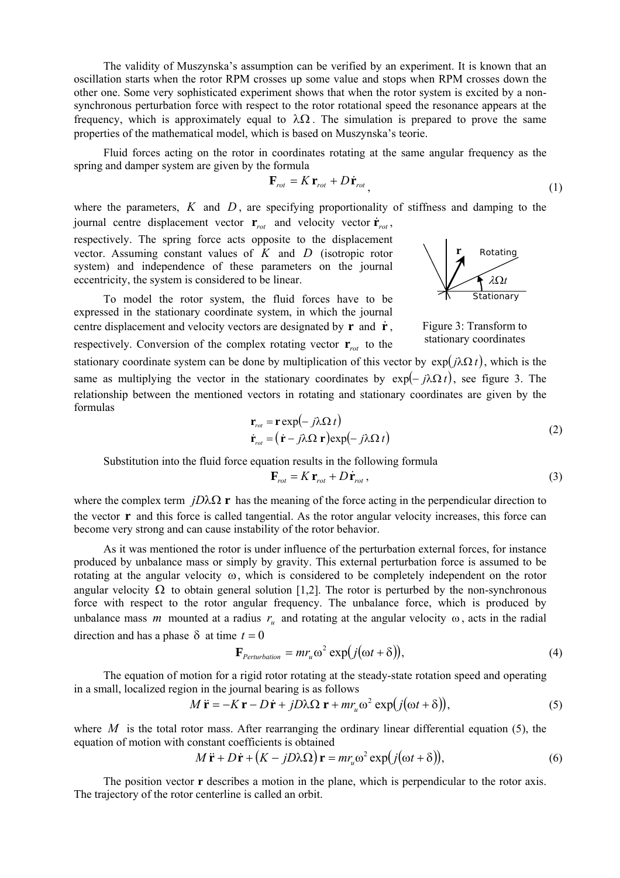The validity of Muszynska's assumption can be verified by an experiment. It is known that an oscillation starts when the rotor RPM crosses up some value and stops when RPM crosses down the other one. Some very sophisticated experiment shows that when the rotor system is excited by a nonsynchronous perturbation force with respect to the rotor rotational speed the resonance appears at the frequency, which is approximately equal to  $\lambda \Omega$ . The simulation is prepared to prove the same properties of the mathematical model, which is based on Muszynska's teorie.

Fluid forces acting on the rotor in coordinates rotating at the same angular frequency as the spring and damper system are given by the formula

$$
\mathbf{F}_{rot} = K \mathbf{r}_{rot} + D \dot{\mathbf{r}}_{rot} \tag{1}
$$

where the parameters,  $K$  and  $D$ , are specifying proportionality of stiffness and damping to the journal centre displacement vector  $\mathbf{r}_{rot}$  and velocity vector  $\dot{\mathbf{r}}_{rot}$ ,

respectively. The spring force acts opposite to the displacement vector. Assuming constant values of *K* and *D* (isotropic rotor system) and independence of these parameters on the journal eccentricity, the system is considered to be linear.

To model the rotor system, the fluid forces have to be expressed in the stationary coordinate system, in which the journal centre displacement and velocity vectors are designated by  $\mathbf{r}$  and  $\dot{\mathbf{r}}$ . respectively. Conversion of the complex rotating vector  $\mathbf{r}_{\text{rot}}$  to the



Figure 3: Transform to stationary coordinates

stationary coordinate system can be done by multiplication of this vector by  $exp(j\lambda \Omega t)$ , which is the same as multiplying the vector in the stationary coordinates by  $exp(-i\lambda \Omega t)$ , see figure 3. The relationship between the mentioned vectors in rotating and stationary coordinates are given by the formulas

$$
\mathbf{r}_{rot} = \mathbf{r} \exp(-j\lambda \Omega t) \n\dot{\mathbf{r}}_{rot} = (\dot{\mathbf{r}} - j\lambda \Omega \mathbf{r}) \exp(-j\lambda \Omega t)
$$
\n(2)

Substitution into the fluid force equation results in the following formula

$$
\mathbf{F}_{rot} = K \mathbf{r}_{rot} + D \dot{\mathbf{r}}_{rot} ,
$$
 (3)

where the complex term *jD* $\lambda \Omega$  **r** has the meaning of the force acting in the perpendicular direction to the vector **r** and this force is called tangential. As the rotor angular velocity increases, this force can become very strong and can cause instability of the rotor behavior.

As it was mentioned the rotor is under influence of the perturbation external forces, for instance produced by unbalance mass or simply by gravity. This external perturbation force is assumed to be rotating at the angular velocity ω, which is considered to be completely independent on the rotor angular velocity  $\Omega$  to obtain general solution [1,2]. The rotor is perturbed by the non-synchronous force with respect to the rotor angular frequency. The unbalance force, which is produced by unbalance mass *m* mounted at a radius  $r<sub>u</sub>$  and rotating at the angular velocity  $\omega$ , acts in the radial direction and has a phase  $\delta$  at time  $t = 0$ 

$$
\mathbf{F}_{Perturbation} = mr_u \omega^2 \exp(j(\omega t + \delta)), \tag{4}
$$

The equation of motion for a rigid rotor rotating at the steady-state rotation speed and operating in a small, localized region in the journal bearing is as follows

$$
M\ddot{\mathbf{r}} = -K\mathbf{r} - D\dot{\mathbf{r}} + jD\lambda\Omega\mathbf{r} + mr_u\omega^2 \exp(j(\omega t + \delta)),
$$
\n(5)

where  $M$  is the total rotor mass. After rearranging the ordinary linear differential equation (5), the equation of motion with constant coefficients is obtained

$$
M\ddot{\mathbf{r}} + D\dot{\mathbf{r}} + (K - jD\lambda\Omega)\mathbf{r} = mr_u\omega^2 \exp(j(\omega t + \delta)),
$$
\n(6)

The position vector **r** describes a motion in the plane, which is perpendicular to the rotor axis. The trajectory of the rotor centerline is called an orbit.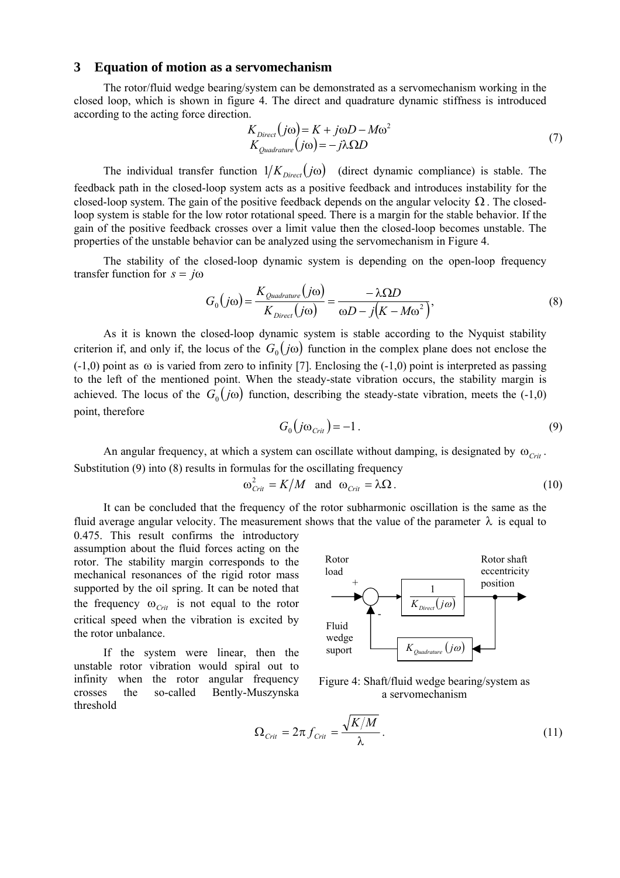#### **3 Equation of motion as a servomechanism**

The rotor/fluid wedge bearing/system can be demonstrated as a servomechanism working in the closed loop, which is shown in figure 4. The direct and quadrature dynamic stiffness is introduced according to the acting force direction.

$$
K_{Direct}(j\omega) = K + j\omega D - M\omega^2
$$
  
\n
$$
K_{Quadrature}(j\omega) = -j\lambda \Omega D
$$
 (7)

The individual transfer function  $1/K_{Direct}(j\omega)$  (direct dynamic compliance) is stable. The feedback path in the closed-loop system acts as a positive feedback and introduces instability for the closed-loop system. The gain of the positive feedback depends on the angular velocity  $\Omega$ . The closedloop system is stable for the low rotor rotational speed. There is a margin for the stable behavior. If the gain of the positive feedback crosses over a limit value then the closed-loop becomes unstable. The properties of the unstable behavior can be analyzed using the servomechanism in Figure 4.

The stability of the closed-loop dynamic system is depending on the open-loop frequency transfer function for  $s = j\omega$ 

$$
G_0(j\omega) = \frac{K_{\text{Quadrature}}(j\omega)}{K_{\text{Direct}}(j\omega)} = \frac{-\lambda \Omega D}{\omega D - j(K - M\omega^2)},
$$
\n(8)

As it is known the closed-loop dynamic system is stable according to the Nyquist stability criterion if, and only if, the locus of the  $G_0(j\omega)$  function in the complex plane does not enclose the  $(-1,0)$  point as  $\omega$  is varied from zero to infinity [7]. Enclosing the  $(-1,0)$  point is interpreted as passing to the left of the mentioned point. When the steady-state vibration occurs, the stability margin is achieved. The locus of the  $G_0(j\omega)$  function, describing the steady-state vibration, meets the (-1,0) point, therefore

$$
G_0(j\omega_{\text{Crit}}) = -1.
$$
\n(9)

An angular frequency, at which a system can oscillate without damping, is designated by  $\omega_{\text{corr}}$ . Substitution (9) into (8) results in formulas for the oscillating frequency

$$
\omega_{\text{Crit}}^2 = K/M \quad \text{and} \quad \omega_{\text{Crit}} = \lambda \Omega \,. \tag{10}
$$

It can be concluded that the frequency of the rotor subharmonic oscillation is the same as the fluid average angular velocity. The measurement shows that the value of the parameter  $\lambda$  is equal to

0.475. This result confirms the introductory assumption about the fluid forces acting on the rotor. The stability margin corresponds to the mechanical resonances of the rigid rotor mass supported by the oil spring. It can be noted that the frequency  $\omega_{\text{Crit}}$  is not equal to the rotor critical speed when the vibration is excited by the rotor unbalance.

If the system were linear, then the unstable rotor vibration would spiral out to infinity when the rotor angular frequency crosses the so-called Bently-Muszynska threshold



Figure 4: Shaft/fluid wedge bearing/system as a servomechanism

$$
\Omega_{\text{Crit}} = 2\pi f_{\text{Crit}} = \frac{\sqrt{K/M}}{\lambda}.
$$
\n(11)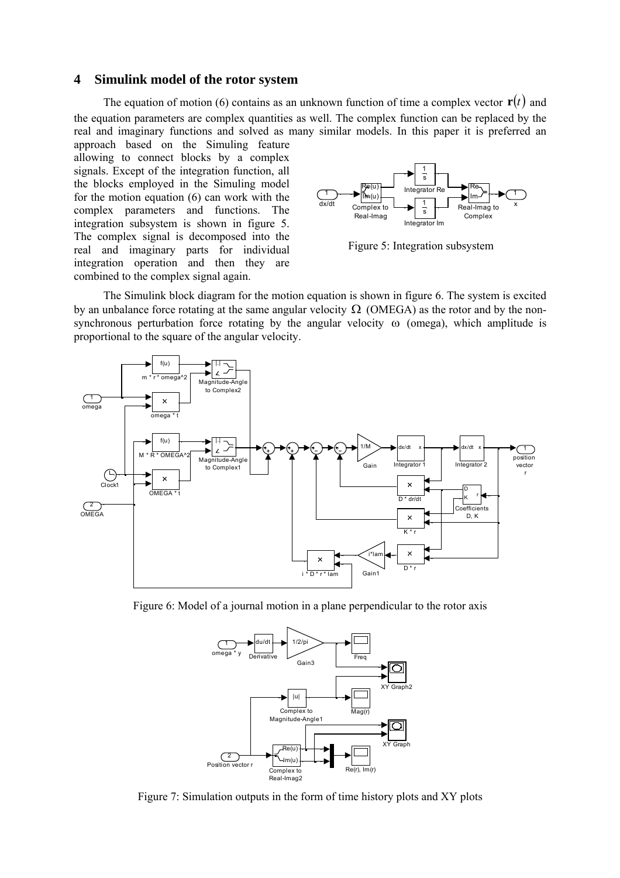### **4 Simulink model of the rotor system**

The equation of motion (6) contains as an unknown function of time a complex vector  $\mathbf{r}(t)$  and the equation parameters are complex quantities as well. The complex function can be replaced by the real and imaginary functions and solved as many similar models. In this paper it is preferred an approach based on the Simuling feature

allowing to connect blocks by a complex signals. Except of the integration function, all the blocks employed in the Simuling model for the motion equation (6) can work with the complex parameters and functions. The integration subsystem is shown in figure 5. The complex signal is decomposed into the real and imaginary parts for individual integration operation and then they are combined to the complex signal again.



Figure 5: Integration subsystem

The Simulink block diagram for the motion equation is shown in figure 6. The system is excited by an unbalance force rotating at the same angular velocity  $\Omega$  (OMEGA) as the rotor and by the nonsynchronous perturbation force rotating by the angular velocity  $\omega$  (omega), which amplitude is proportional to the square of the angular velocity.



Figure 6: Model of a journal motion in a plane perpendicular to the rotor axis



Figure 7: Simulation outputs in the form of time history plots and XY plots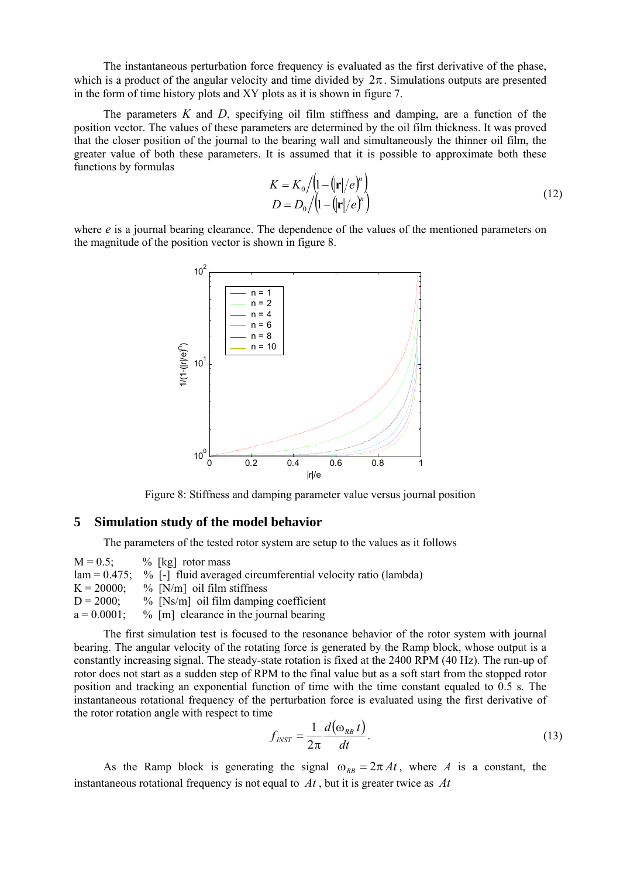The instantaneous perturbation force frequency is evaluated as the first derivative of the phase, which is a product of the angular velocity and time divided by  $2\pi$ . Simulations outputs are presented in the form of time history plots and XY plots as it is shown in figure 7.

The parameters *K* and *D*, specifying oil film stiffness and damping, are a function of the position vector. The values of these parameters are determined by the oil film thickness. It was proved that the closer position of the journal to the bearing wall and simultaneously the thinner oil film, the greater value of both these parameters. It is assumed that it is possible to approximate both these functions by formulas

$$
K = K_0 / (1 - (\mathbf{r} \mid / e)^n)
$$
  
\n
$$
D = D_0 / (1 - (\mathbf{r} \mid / e)^n)
$$
\n(12)

where *e* is a journal bearing clearance. The dependence of the values of the mentioned parameters on the magnitude of the position vector is shown in figure 8.



Figure 8: Stiffness and damping parameter value versus journal position

#### **5 Simulation study of the model behavior**

The parameters of the tested rotor system are setup to the values as it follows

 $M = 0.5$ ; % [kg] rotor mass  $lam = 0.475$ ; % [-] fluid averaged circumferential velocity ratio (lambda)  $K = 20000$ ; % [N/m] oil film stiffness  $D = 2000$ ; % [Ns/m] oil film damping coefficient  $a = 0.0001$ ; % [m] clearance in the journal bearing

The first simulation test is focused to the resonance behavior of the rotor system with journal bearing. The angular velocity of the rotating force is generated by the Ramp block, whose output is a constantly increasing signal. The steady-state rotation is fixed at the 2400 RPM (40 Hz). The run-up of rotor does not start as a sudden step of RPM to the final value but as a soft start from the stopped rotor position and tracking an exponential function of time with the time constant equaled to 0.5 s. The instantaneous rotational frequency of the perturbation force is evaluated using the first derivative of the rotor rotation angle with respect to time

$$
f_{INT} = \frac{1}{2\pi} \frac{d(\omega_{RB} t)}{dt}.
$$
 (13)

As the Ramp block is generating the signal  $\omega_{RB} = 2\pi A t$ , where *A* is a constant, the instantaneous rotational frequency is not equal to *At* , but it is greater twice as *At*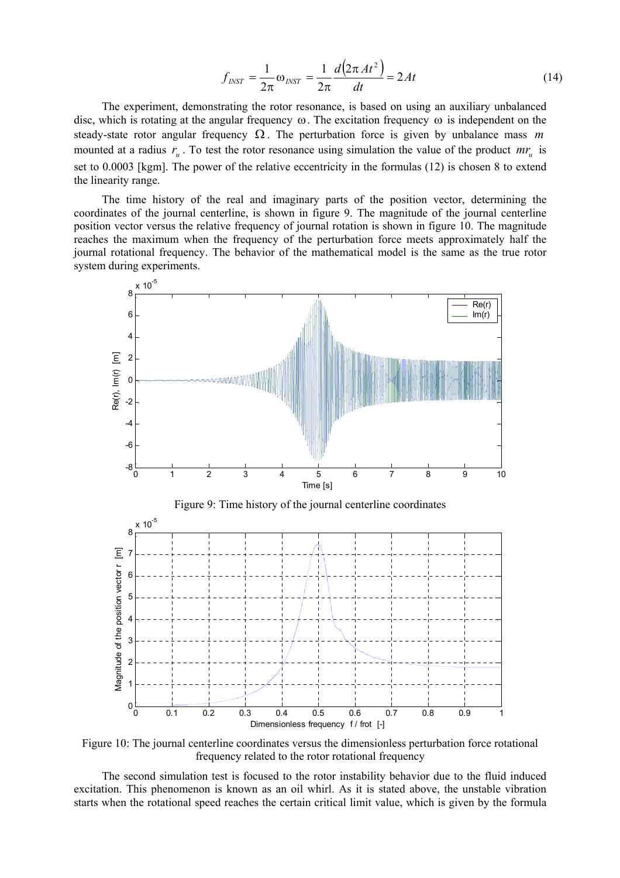$$
f_{NST} = \frac{1}{2\pi} \omega_{NST} = \frac{1}{2\pi} \frac{d(2\pi At^2)}{dt} = 2At
$$
 (14)

The experiment, demonstrating the rotor resonance, is based on using an auxiliary unbalanced disc, which is rotating at the angular frequency ω. The excitation frequency ω is independent on the steady-state rotor angular frequency Ω . The perturbation force is given by unbalance mass *m* mounted at a radius  $r_u$ . To test the rotor resonance using simulation the value of the product  $mr_u$  is set to 0.0003 [kgm]. The power of the relative eccentricity in the formulas (12) is chosen 8 to extend the linearity range.

The time history of the real and imaginary parts of the position vector, determining the coordinates of the journal centerline, is shown in figure 9. The magnitude of the journal centerline position vector versus the relative frequency of journal rotation is shown in figure 10. The magnitude reaches the maximum when the frequency of the perturbation force meets approximately half the journal rotational frequency. The behavior of the mathematical model is the same as the true rotor system during experiments.



Figure 10: The journal centerline coordinates versus the dimensionless perturbation force rotational frequency related to the rotor rotational frequency

The second simulation test is focused to the rotor instability behavior due to the fluid induced excitation. This phenomenon is known as an oil whirl. As it is stated above, the unstable vibration starts when the rotational speed reaches the certain critical limit value, which is given by the formula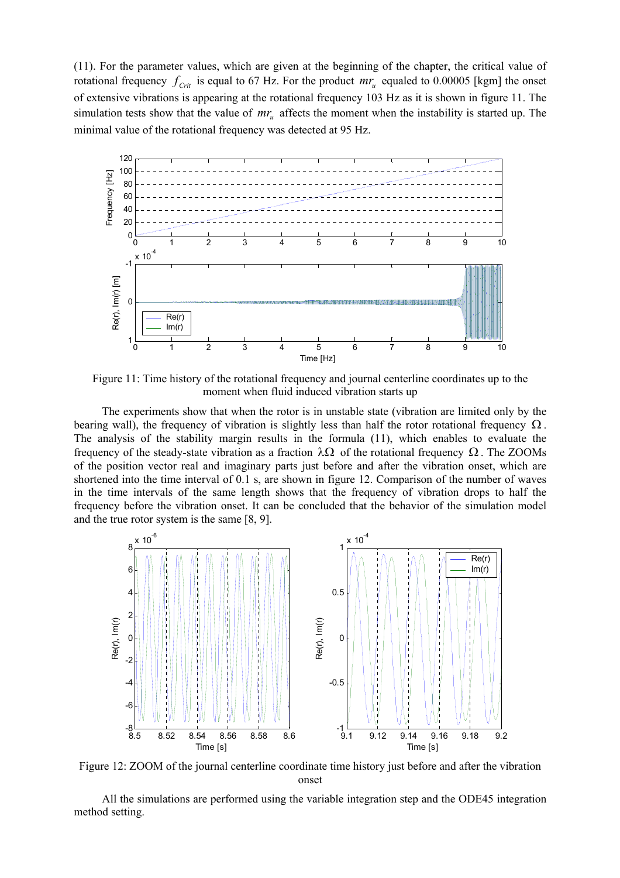(11). For the parameter values, which are given at the beginning of the chapter, the critical value of rotational frequency  $f_{\text{Crit}}$  is equal to 67 Hz. For the product  $mr_u$  equaled to 0.00005 [kgm] the onset of extensive vibrations is appearing at the rotational frequency 103 Hz as it is shown in figure 11. The simulation tests show that the value of  $mr_{u}$  affects the moment when the instability is started up. The minimal value of the rotational frequency was detected at 95 Hz.



Figure 11: Time history of the rotational frequency and journal centerline coordinates up to the moment when fluid induced vibration starts up

The experiments show that when the rotor is in unstable state (vibration are limited only by the bearing wall), the frequency of vibration is slightly less than half the rotor rotational frequency  $\Omega$ . The analysis of the stability margin results in the formula (11), which enables to evaluate the frequency of the steady-state vibration as a fraction λΩ of the rotational frequency Ω . The ZOOMs of the position vector real and imaginary parts just before and after the vibration onset, which are shortened into the time interval of 0.1 s, are shown in figure 12. Comparison of the number of waves in the time intervals of the same length shows that the frequency of vibration drops to half the frequency before the vibration onset. It can be concluded that the behavior of the simulation model and the true rotor system is the same [8, 9].



Figure 12: ZOOM of the journal centerline coordinate time history just before and after the vibration onset

All the simulations are performed using the variable integration step and the ODE45 integration method setting.